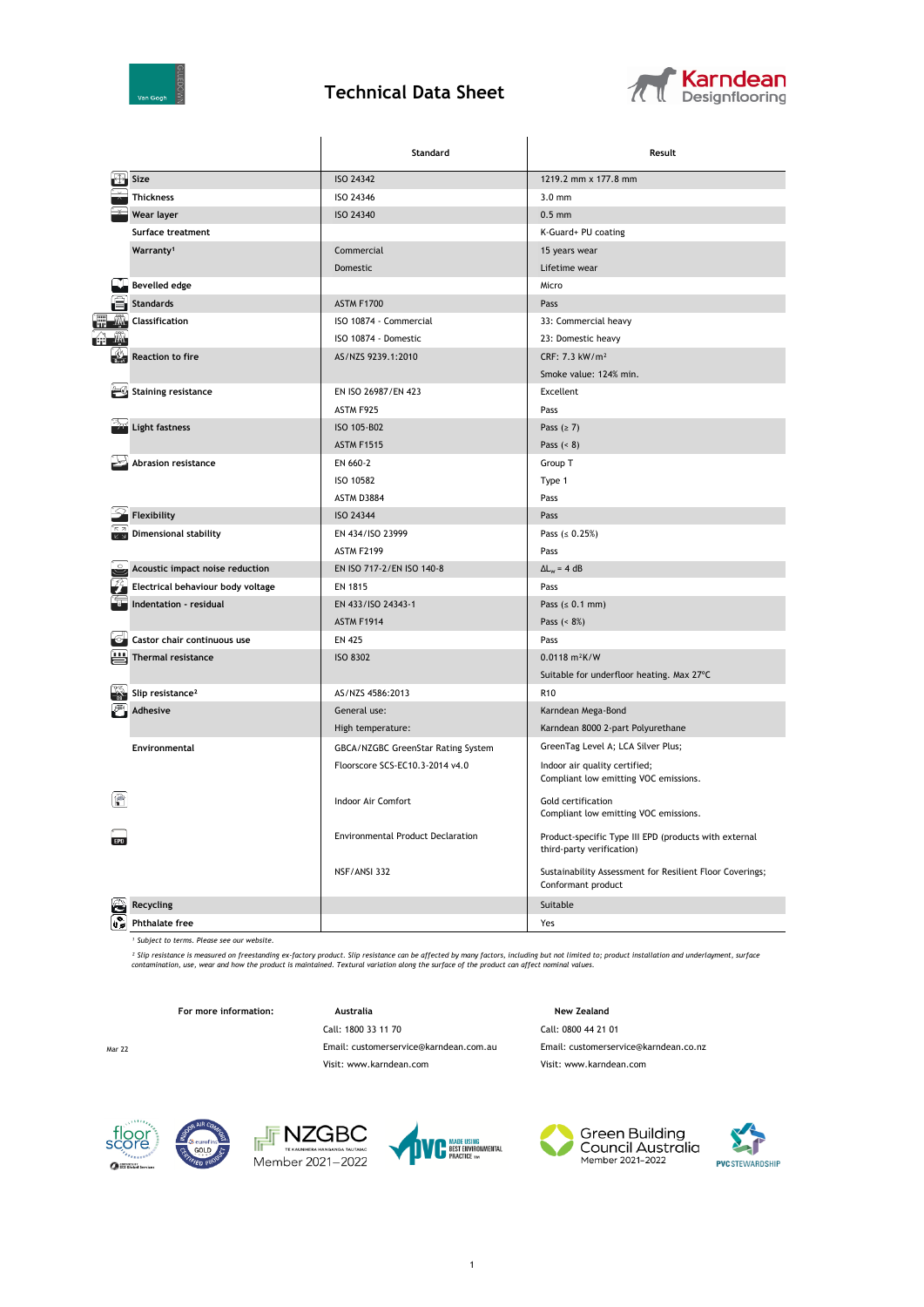

## **Technical Data Sheet**



|                    |                                                 | Standard                                 | Result                                                                             |  |
|--------------------|-------------------------------------------------|------------------------------------------|------------------------------------------------------------------------------------|--|
|                    | Size                                            | ISO 24342                                | 1219.2 mm x 177.8 mm                                                               |  |
|                    | <b>Thickness</b>                                | ISO 24346                                | $3.0$ mm                                                                           |  |
|                    | Wear layer                                      | <b>ISO 24340</b>                         | $0.5$ mm                                                                           |  |
|                    | Surface treatment                               |                                          | K-Guard+ PU coating                                                                |  |
|                    | Warranty <sup>1</sup>                           | Commercial                               | 15 years wear                                                                      |  |
|                    |                                                 | Domestic                                 | Lifetime wear                                                                      |  |
|                    | <b>Bevelled edge</b>                            |                                          | Micro                                                                              |  |
|                    | <b>Standards</b>                                | <b>ASTM F1700</b>                        | Pass                                                                               |  |
| T                  | Classification                                  | ISO 10874 - Commercial                   | 33: Commercial heavy                                                               |  |
| ÉĤ                 |                                                 | ISO 10874 - Domestic                     | 23: Domestic heavy                                                                 |  |
|                    | <b>Reaction to fire</b>                         | AS/NZS 9239.1:2010                       | CRF: 7.3 kW/m <sup>2</sup>                                                         |  |
|                    |                                                 |                                          | Smoke value: 124% min.                                                             |  |
|                    | <b>Staining resistance</b>                      | EN ISO 26987/EN 423                      | Excellent                                                                          |  |
|                    |                                                 | ASTM F925                                | Pass                                                                               |  |
|                    | Light fastness                                  | ISO 105-B02                              | Pass $(≥ 7)$                                                                       |  |
|                    |                                                 | <b>ASTM F1515</b>                        | Pass $(8)$                                                                         |  |
|                    | Abrasion resistance                             | EN 660-2                                 | Group T                                                                            |  |
|                    |                                                 | ISO 10582                                | Type 1                                                                             |  |
|                    |                                                 | ASTM D3884                               | Pass                                                                               |  |
|                    | Flexibility                                     | ISO 24344                                | Pass                                                                               |  |
|                    | <b>Dimensional stability</b>                    | EN 434/ISO 23999                         | Pass $( \le 0.25\%)$                                                               |  |
|                    |                                                 | ASTM F2199                               | Pass                                                                               |  |
|                    | Acoustic impact noise reduction                 | EN ISO 717-2/EN ISO 140-8                | $\Delta L_w = 4 dB$                                                                |  |
|                    | $\frac{1}{2}$ Electrical behaviour body voltage | EN 1815                                  | Pass                                                                               |  |
|                    | Indentation - residual                          | EN 433/ISO 24343-1                       | Pass $(s 0.1 mm)$                                                                  |  |
|                    |                                                 | <b>ASTM F1914</b>                        | Pass $(8\%)$                                                                       |  |
|                    | Castor chair continuous use                     | <b>EN 425</b>                            | Pass                                                                               |  |
| Thermal resistance |                                                 | <b>ISO 8302</b>                          | $0.0118$ m <sup>2</sup> K/W                                                        |  |
|                    |                                                 |                                          | Suitable for underfloor heating. Max 27°C                                          |  |
|                    | Slip resistance <sup>2</sup>                    | AS/NZS 4586:2013                         | R <sub>10</sub>                                                                    |  |
|                    | Adhesive                                        | General use:                             | Karndean Mega-Bond                                                                 |  |
|                    |                                                 | High temperature:                        | Karndean 8000 2-part Polyurethane                                                  |  |
|                    | Environmental                                   | GBCA/NZGBC GreenStar Rating System       | GreenTag Level A; LCA Silver Plus;                                                 |  |
|                    |                                                 | Floorscore SCS-EC10.3-2014 v4.0          | Indoor air quality certified;<br>Compliant low emitting VOC emissions.             |  |
|                    |                                                 | Indoor Air Comfort                       | Gold certification<br>Compliant low emitting VOC emissions.                        |  |
|                    |                                                 | <b>Environmental Product Declaration</b> | Product-specific Type III EPD (products with external<br>third-party verification) |  |
|                    |                                                 | NSF/ANSI 332                             | Sustainability Assessment for Resilient Floor Coverings;<br>Conformant product     |  |
|                    | Recycling                                       |                                          | Suitable                                                                           |  |
| ù°                 | <b>Phthalate free</b>                           |                                          | Yes                                                                                |  |

*¹ Subject to terms. Please see our website.*

<sup>2</sup> Slip resistance is measured on freestanding ex-factory product. Slip resistance can be affected by many factors, including but not limited to; product installation and underlayment, surface<br>contamination, use, wear and

**For more information: Australia Australia New Zealand** 

Call: 1800 33 11 70 Call: 0800 44 21 01

Mar 22 Email: customerservice@karndean.com.au Email: customerservice@karndean.co.nz

sco<br>sco

 $\Omega$  as







Visit: www.karndean.com Visit: www.karndean.com